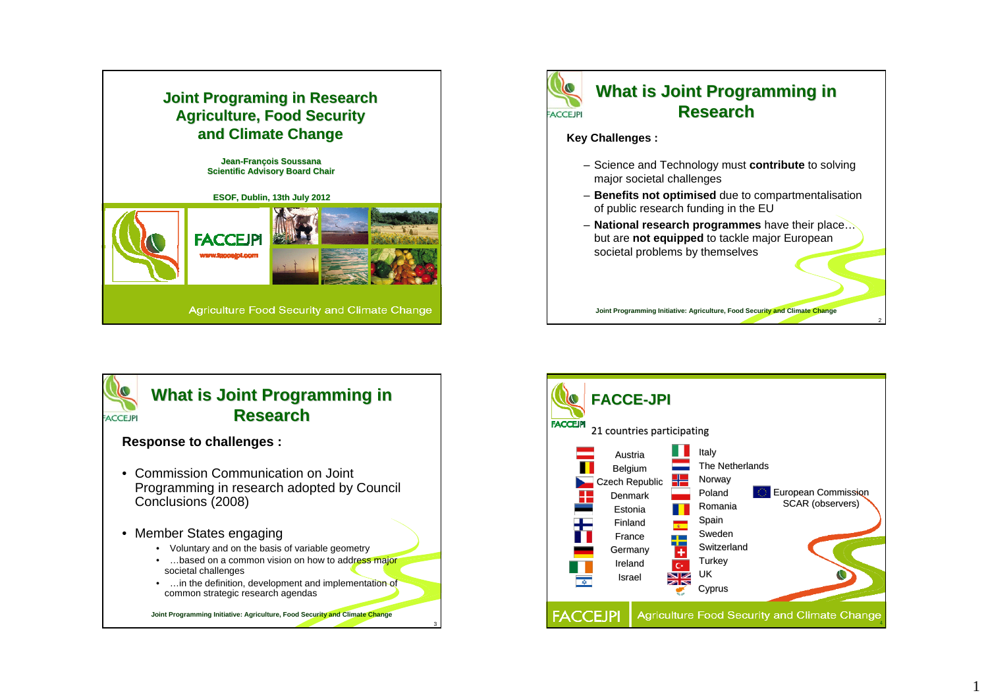





# **What is Joint Programming in Research Research**

#### **Response to challenges :**

- Commission Communication on Joint Programming in research adopted by Council Conclusions (2008)
- Member States engaging
	- Voluntary and on the basis of variable geometry
	- •...based on a common vision on how to address major societal challenges
	- ... in the definition, development and implementation of common strategic research agendas

3

**Joint Programming Initiative: Agriculture, Food Security and Climate Change**

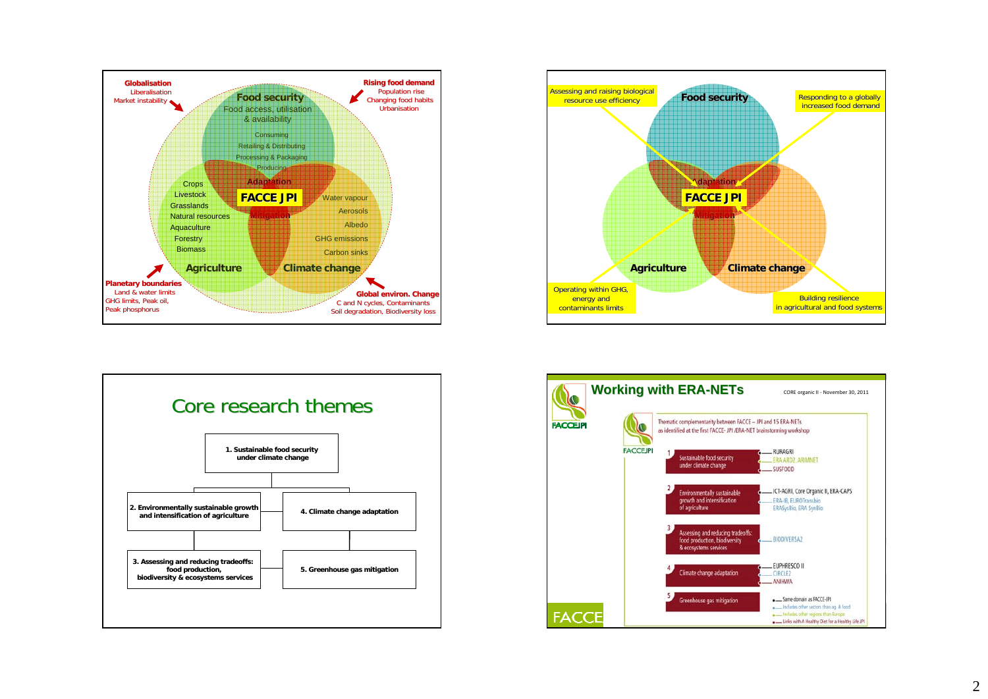





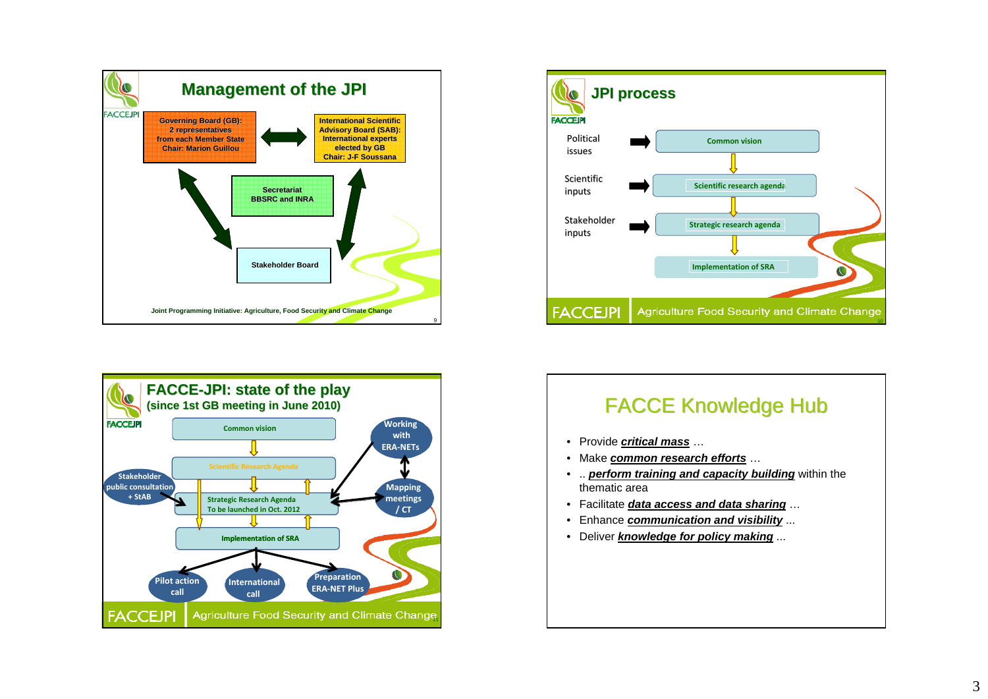





# **FACCE Knowledge Hub**

- Provide *critical mass* …
- Make *common research efforts* …
- .. *perform training and capacity building* within the thematic area
- Facilitate *data access and data sharing* …
- Enhance *communication and visibility* ...
- Deliver *knowledge for policy making* ...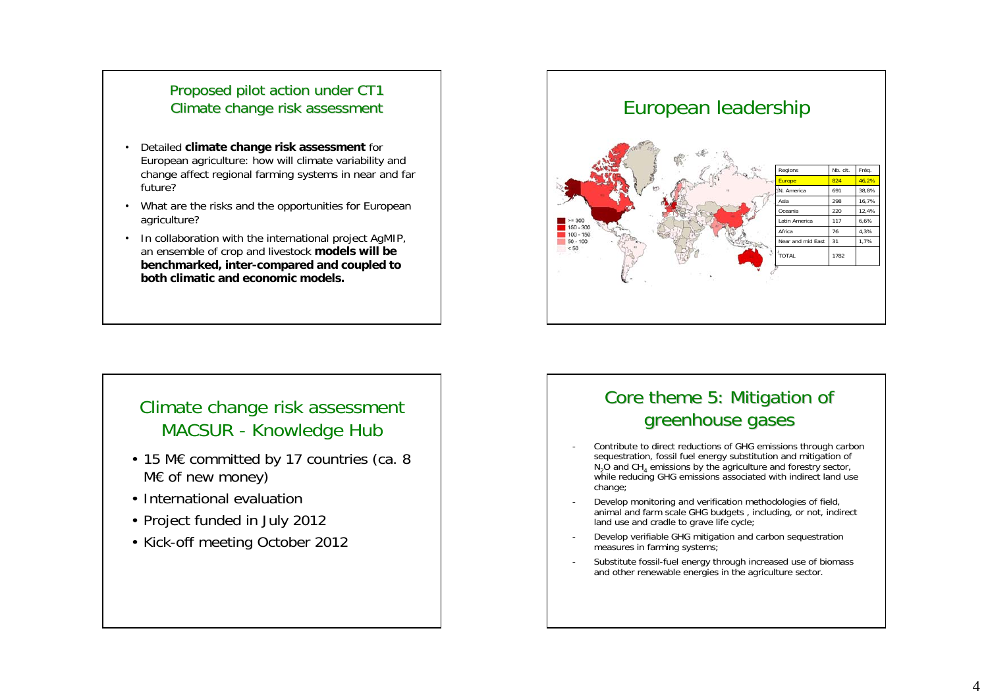### Proposed pilot action under CT1 Climate change risk assessment

- • Detailed **climate change risk assessment** for European agriculture: how will climate variability and change affect regional farming systems in near and far future?
- What are the risks and the opportunities for European agriculture?
- In collaboration with the international project AgMIP, an ensemble of crop and livestock **models will be benchmarked, inter-compared and coupled to both climatic and economic models.**

## Climate change risk assessment MACSUR - Knowledge Hub

- 15 M€ committed by 17 countries (ca. 8 M€ of new money)
- International evaluation
- Project funded in July 2012
- Kick-off meeting October 2012



# Core theme 5: Mitigation of greenhouse gases

- - Contribute to direct reductions of GHG emissions through carbon sequestration, fossil fuel energy substitution and mitigation of  $N<sub>2</sub>$ O and CH<sub>4</sub> emissions by the agriculture and forestry sector, while reducing GHG emissions associated with indirect land use change;
- - Develop monitoring and verification methodologies of field, animal and farm scale GHG budgets, including, or not, indirect land use and cradle to grave life cycle;
- Develop verifiable GHG mitigation and carbon sequestration measures in farming systems;
- - Substitute fossil-fuel energy through increased use of biomass and other renewable energies in the agriculture sector.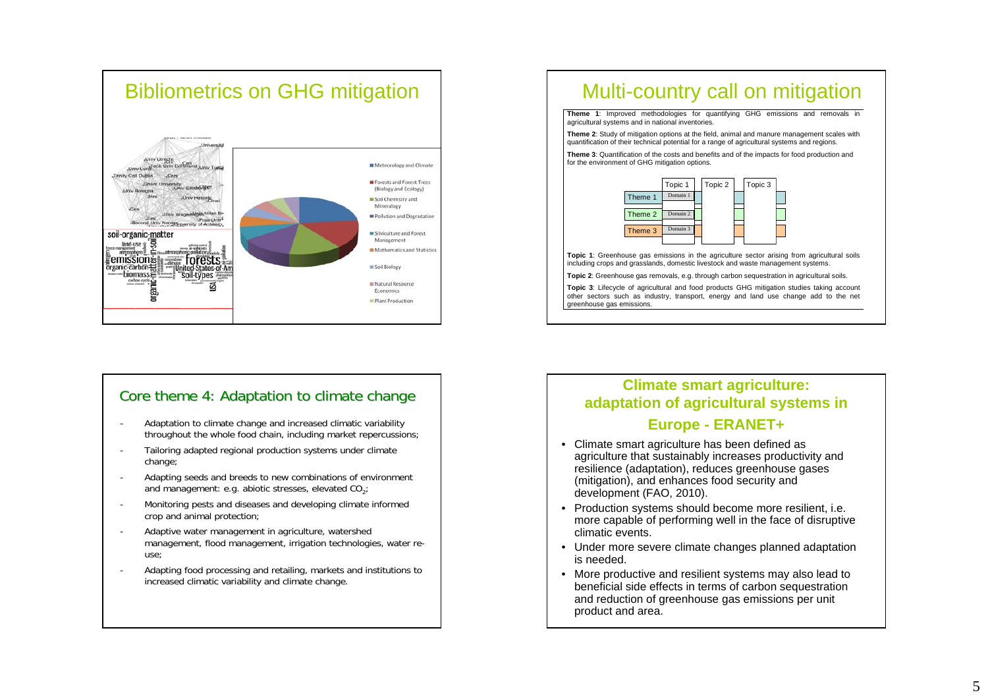

#### Core

- Adaptation to climate change and increased climatic variability throughout the whole food chain, including market repercussions;
- - Tailoring adapted regional production systems under climate change;
- - Adapting seeds and breeds to new combinations of environment and management: e.g. abiotic stresses, elevated  $CO<sub>2</sub>$ ;
- - Monitoring pests and diseases and developing climate informed crop and animal protection;
- Adaptive water management in agriculture, watershed management, flood management, irrigation technologies, water reuse;
- Adapting food processing and retailing, markets and institutions to increased climatic variability and climate change.

**Theme 1**: Improved methodologies for quantifying GHG emissions and removals in agricultural systems and in national inventories.

**Theme 2**: Study of mitigation options at the field, animal and manure management scales with quantification of their technical potential for a range of agricultural systems and regions.

**Theme 3**: Quantification of the costs and benefits and of the impacts for food production and for the environment of GHG mitigation options.



Topic 1: Greenhouse gas emissions in the agriculture sector arising from agricultural soils including crops and grasslands, domestic livestock and waste management systems.

**Topic 2**: Greenhouse gas removals, e.g. through carbon sequestration in agricultural soils.

**Topic 3**: Lifecycle of agricultural and food products GHG mitigation studies taking account other sectors such as industry, transport, energy and land use change add to the net greenhouse gas emissions.

# theme 4: Adaptation to climate change **Climate change adaptation of agriculture: adaptation of agricultural systems in**

#### **Europe - ERANET+**

- Climate smart agriculture has been defined as agriculture that sustainably increases productivity and resilience (adaptation), reduces greenhouse gases (mitigation), and enhances food security and development (FAO, 2010).
- Production systems should become more resilient, i.e. more capable of performing well in the face of disruptive climatic events.
- Under more severe climate changes planned adaptation is needed.
- More productive and resilient systems may also lead to beneficial side effects in terms of carbon sequestration and reduction of greenhouse gas emissions per unit product and area.